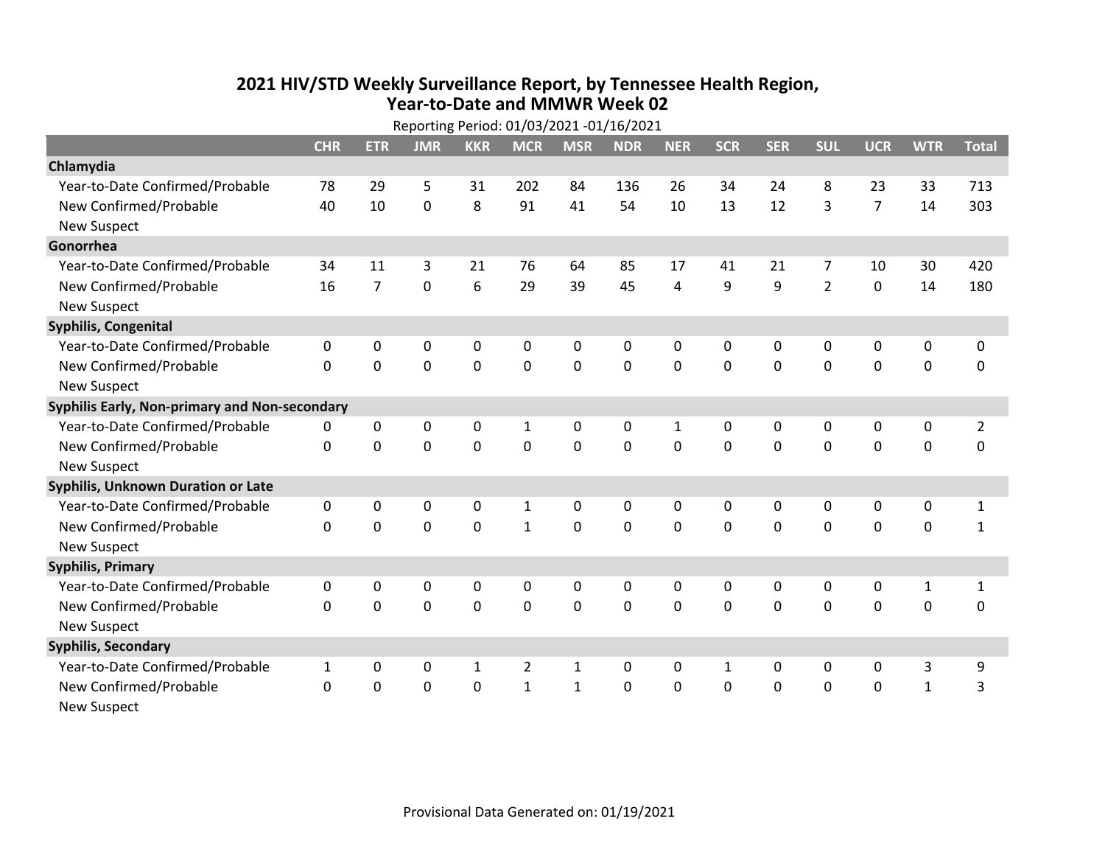## **2021 HIV /STD Weekly Surveillance Report, by Tennessee Health Region, Year‐to‐Date and MMWR Week 02** Reporting Period: 01/03/2021 ‐01/16/2021

| Reporting Period: 01/03/2021 -01/16/2021      |              |                |             |              |                |              |                |              |            |              |                |                |              |                |
|-----------------------------------------------|--------------|----------------|-------------|--------------|----------------|--------------|----------------|--------------|------------|--------------|----------------|----------------|--------------|----------------|
|                                               | <b>CHR</b>   | <b>ETR</b>     | <b>JMR</b>  | <b>KKR</b>   | <b>MCR</b>     | <b>MSR</b>   | <b>NDR</b>     | <b>NER</b>   | <b>SCR</b> | <b>SER</b>   | <b>SUL</b>     | <b>UCR</b>     | <b>WTR</b>   | <b>Total</b>   |
| Chlamydia                                     |              |                |             |              |                |              |                |              |            |              |                |                |              |                |
| Year-to-Date Confirmed/Probable               | 78           | 29             | 5           | 31           | 202            | 84           | 136            | 26           | 34         | 24           | 8              | 23             | 33           | 713            |
| New Confirmed/Probable                        | 40           | 10             | $\mathbf 0$ | 8            | 91             | 41           | 54             | 10           | 13         | 12           | 3              | $\overline{7}$ | 14           | 303            |
| <b>New Suspect</b>                            |              |                |             |              |                |              |                |              |            |              |                |                |              |                |
| Gonorrhea                                     |              |                |             |              |                |              |                |              |            |              |                |                |              |                |
| Year-to-Date Confirmed/Probable               | 34           | 11             | 3           | 21           | 76             | 64           | 85             | 17           | 41         | 21           | 7              | 10             | 30           | 420            |
| New Confirmed/Probable                        | 16           | $\overline{7}$ | 0           | 6            | 29             | 39           | 45             | 4            | 9          | 9            | $\overline{2}$ | $\mathbf 0$    | 14           | 180            |
| <b>New Suspect</b>                            |              |                |             |              |                |              |                |              |            |              |                |                |              |                |
| <b>Syphilis, Congenital</b>                   |              |                |             |              |                |              |                |              |            |              |                |                |              |                |
| Year-to-Date Confirmed/Probable               | 0            | 0              | 0           | 0            | 0              | $\mathbf 0$  | 0              | 0            | 0          | 0            | 0              | 0              | 0            | 0              |
| New Confirmed/Probable                        | $\mathbf{0}$ | $\mathbf 0$    | $\mathbf 0$ | $\mathbf 0$  | $\mathbf 0$    | $\mathbf 0$  | 0              | $\mathbf 0$  | 0          | $\mathbf 0$  | $\mathbf 0$    | $\mathbf 0$    | $\mathbf 0$  | 0              |
| <b>New Suspect</b>                            |              |                |             |              |                |              |                |              |            |              |                |                |              |                |
| Syphilis Early, Non-primary and Non-secondary |              |                |             |              |                |              |                |              |            |              |                |                |              |                |
| Year-to-Date Confirmed/Probable               | 0            | 0              | $\Omega$    | $\mathbf 0$  | $\mathbf{1}$   | $\mathbf 0$  | 0              | $\mathbf{1}$ | $\Omega$   | $\Omega$     | $\mathbf{0}$   | 0              | 0            | $\overline{2}$ |
| New Confirmed/Probable                        | $\Omega$     | $\Omega$       | $\Omega$    | $\Omega$     | $\Omega$       | $\Omega$     | $\Omega$       | $\Omega$     | $\Omega$   | $\Omega$     | $\Omega$       | $\mathbf 0$    | $\mathbf 0$  | 0              |
| <b>New Suspect</b>                            |              |                |             |              |                |              |                |              |            |              |                |                |              |                |
| <b>Syphilis, Unknown Duration or Late</b>     |              |                |             |              |                |              |                |              |            |              |                |                |              |                |
| Year-to-Date Confirmed/Probable               | 0            | 0              | 0           | $\mathbf{0}$ | $\mathbf{1}$   | 0            | 0              | 0            | $\Omega$   | $\Omega$     | 0              | 0              | 0            | $\mathbf{1}$   |
| New Confirmed/Probable                        | $\Omega$     | $\Omega$       | $\Omega$    | $\Omega$     | $\mathbf{1}$   | $\mathbf{0}$ | $\Omega$       | $\Omega$     | $\Omega$   | $\Omega$     | $\Omega$       | $\Omega$       | $\mathbf 0$  | $\mathbf{1}$   |
| <b>New Suspect</b>                            |              |                |             |              |                |              |                |              |            |              |                |                |              |                |
| <b>Syphilis, Primary</b>                      |              |                |             |              |                |              |                |              |            |              |                |                |              |                |
| Year-to-Date Confirmed/Probable               | 0            | 0              | 0           | 0            | 0              | 0            | 0              | 0            | 0          | $\mathbf{0}$ | 0              | 0              | $\mathbf{1}$ | $\mathbf{1}$   |
| New Confirmed/Probable                        | 0            | 0              | 0           | 0            | $\mathbf 0$    | $\mathbf 0$  | 0              | $\Omega$     | $\Omega$   | $\mathbf 0$  | 0              | $\mathbf 0$    | 0            | 0              |
| <b>New Suspect</b>                            |              |                |             |              |                |              |                |              |            |              |                |                |              |                |
| <b>Syphilis, Secondary</b>                    |              |                |             |              |                |              |                |              |            |              |                |                |              |                |
| Year-to-Date Confirmed/Probable               | $\mathbf{1}$ | 0              | 0           | 1            | $\overline{2}$ | $\mathbf{1}$ | 0              | $\mathbf{0}$ | 1          | $\mathbf{0}$ | $\mathbf{0}$   | 0              | 3            | 9              |
| New Confirmed/Probable                        | $\Omega$     | 0              | 0           | $\mathbf 0$  | $\mathbf{1}$   | $\mathbf{1}$ | $\overline{0}$ | $\Omega$     | $\Omega$   | $\mathbf 0$  | $\mathbf 0$    | $\mathbf 0$    | $\mathbf{1}$ | 3              |
| <b>New Suspect</b>                            |              |                |             |              |                |              |                |              |            |              |                |                |              |                |